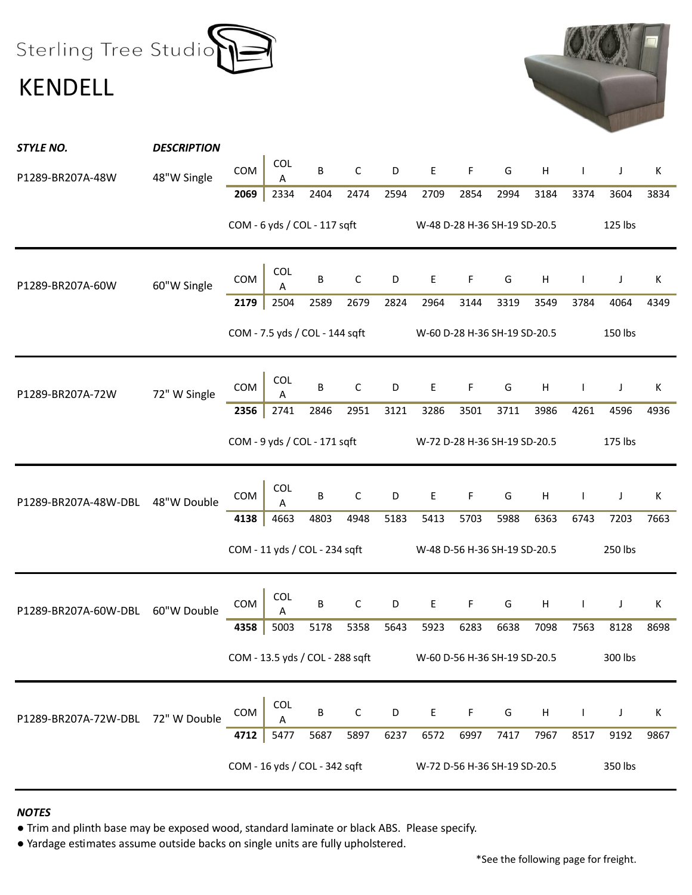Sterling Tree Studio KENDELL



| STYLE NO.            | <b>DESCRIPTION</b> |      |                                 |      |             |      |                              |             |                              |         |              |         |      |
|----------------------|--------------------|------|---------------------------------|------|-------------|------|------------------------------|-------------|------------------------------|---------|--------------|---------|------|
| P1289-BR207A-48W     | 48"W Single        | COM  | COL<br>Α                        | B    | $\mathsf C$ | D    | E                            | F           | G                            | Н       | $\mathbf{I}$ | J       | К    |
|                      |                    | 2069 | 2334                            | 2404 | 2474        | 2594 | 2709                         | 2854        | 2994                         | 3184    | 3374         | 3604    | 3834 |
|                      |                    |      | COM - 6 yds / COL - 117 sqft    |      |             |      |                              |             | W-48 D-28 H-36 SH-19 SD-20.5 |         |              | 125 lbs |      |
| P1289-BR207A-60W     | 60"W Single        | COM  | COL<br>Α                        | B    | $\mathsf C$ | D    | Е                            | F           | G                            | Н       | T            | J       | К    |
|                      |                    | 2179 | 2504                            | 2589 | 2679        | 2824 | 2964                         | 3144        | 3319                         | 3549    | 3784         | 4064    | 4349 |
|                      |                    |      | COM - 7.5 yds / COL - 144 sqft  |      |             |      | W-60 D-28 H-36 SH-19 SD-20.5 |             |                              |         |              | 150 lbs |      |
| P1289-BR207A-72W     | 72" W Single       | COM  | COL<br>Α                        | B    | $\mathsf C$ | D    | E                            | F           | G                            | Н       | T            | J       | Κ    |
|                      |                    | 2356 | 2741                            | 2846 | 2951        | 3121 | 3286                         | 3501        | 3711                         | 3986    | 4261         | 4596    | 4936 |
|                      |                    |      | COM - 9 yds / COL - 171 sqft    |      |             |      | W-72 D-28 H-36 SH-19 SD-20.5 |             |                              |         |              | 175 lbs |      |
|                      |                    |      |                                 |      |             |      |                              |             |                              |         |              |         |      |
| P1289-BR207A-48W-DBL | 48"W Double        | COM  | COL<br>А                        | B    | $\mathsf C$ | D    | Е                            | F           | G                            | Н       | $\mathbf{I}$ | J       | Κ    |
|                      |                    | 4138 | 4663                            | 4803 | 4948        | 5183 | 5413                         | 5703        | 5988                         | 6363    | 6743         | 7203    | 7663 |
|                      |                    |      | COM - 11 yds / COL - 234 sqft   |      |             |      | W-48 D-56 H-36 SH-19 SD-20.5 |             |                              |         |              | 250 lbs |      |
| P1289-BR207A-60W-DBL | 60"W Double        | COM  | COL<br>Α                        | B    | $\mathsf C$ | D    | $\mathsf E$                  | $\mathsf F$ | G                            | Н       | $\mathbf{I}$ | J       | Κ    |
|                      |                    | 4358 | 5003                            | 5178 | 5358        | 5643 | 5923                         | 6283        | 6638                         | 7098    | 7563         | 8128    | 8698 |
|                      |                    |      | COM - 13.5 yds / COL - 288 sqft |      |             |      |                              |             | W-60 D-56 H-36 SH-19 SD-20.5 |         |              | 300 lbs |      |
| P1289-BR207A-72W-DBL | 72" W Double       | COM  | COL<br>A                        | B    | $\mathsf C$ | D    | Е                            | F           | G                            | $\sf H$ | T            | J       | К    |
|                      |                    | 4712 | 5477                            | 5687 | 5897        | 6237 | 6572                         | 6997        | 7417                         | 7967    | 8517         | 9192    | 9867 |

## *NOTES*

● Trim and plinth base may be exposed wood, standard laminate or black ABS. Please specify.

● Yardage estimates assume outside backs on single units are fully upholstered.